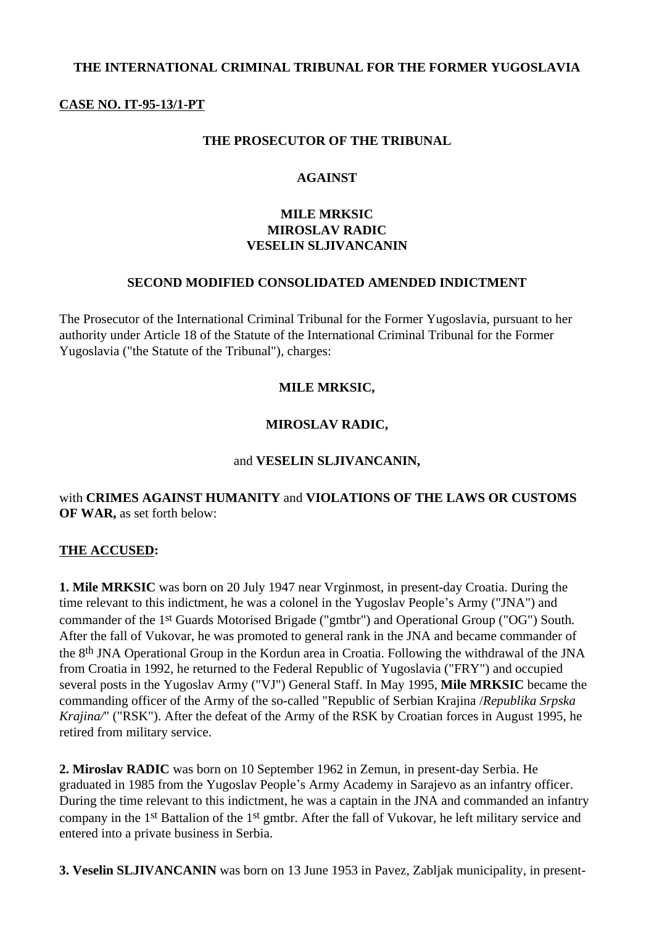#### **THE INTERNATIONAL CRIMINAL TRIBUNAL FOR THE FORMER YUGOSLAVIA**

#### **CASE NO. IT-95-13/1-PT**

#### **THE PROSECUTOR OF THE TRIBUNAL**

#### **AGAINST**

#### **MILE MRKSIC MIROSLAV RADIC VESELIN SLJIVANCANIN**

#### **SECOND MODIFIED CONSOLIDATED AMENDED INDICTMENT**

The Prosecutor of the International Criminal Tribunal for the Former Yugoslavia, pursuant to her authority under Article 18 of the Statute of the International Criminal Tribunal for the Former Yugoslavia ("the Statute of the Tribunal"), charges:

#### **MILE MRKSIC,**

#### **MIROSLAV RADIC,**

#### and **VESELIN SLJIVANCANIN,**

#### with **CRIMES AGAINST HUMANITY** and **VIOLATIONS OF THE LAWS OR CUSTOMS OF WAR,** as set forth below:

#### **THE ACCUSED:**

**1. Mile MRKSIC** was born on 20 July 1947 near Vrginmost, in present-day Croatia. During the time relevant to this indictment, he was a colonel in the Yugoslav People's Army ("JNA") and commander of the 1st Guards Motorised Brigade ("gmtbr") and Operational Group ("OG") South. After the fall of Vukovar, he was promoted to general rank in the JNA and became commander of the 8th JNA Operational Group in the Kordun area in Croatia. Following the withdrawal of the JNA from Croatia in 1992, he returned to the Federal Republic of Yugoslavia ("FRY") and occupied several posts in the Yugoslav Army ("VJ") General Staff. In May 1995, **Mile MRKSIC** became the commanding officer of the Army of the so-called "Republic of Serbian Krajina /*Republika Srpska Krajina/*" ("RSK"). After the defeat of the Army of the RSK by Croatian forces in August 1995, he retired from military service.

**2. Miroslav RADIC** was born on 10 September 1962 in Zemun, in present-day Serbia. He graduated in 1985 from the Yugoslav People's Army Academy in Sarajevo as an infantry officer. During the time relevant to this indictment, he was a captain in the JNA and commanded an infantry company in the 1st Battalion of the 1st gmtbr. After the fall of Vukovar, he left military service and entered into a private business in Serbia.

**3. Veselin SLJIVANCANIN** was born on 13 June 1953 in Pavez, Zabljak municipality, in present-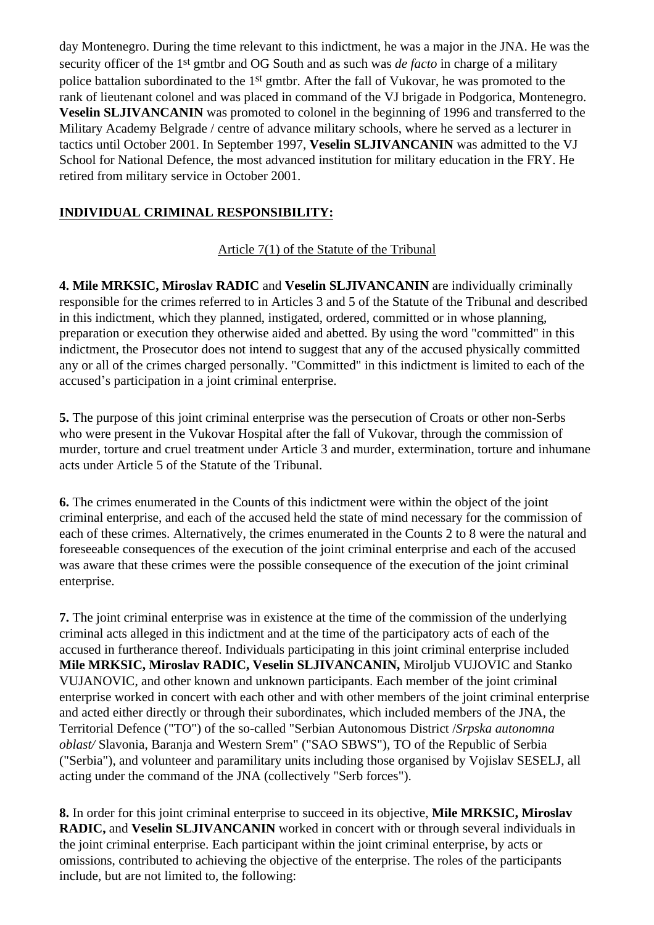day Montenegro. During the time relevant to this indictment, he was a major in the JNA. He was the security officer of the 1st gmtbr and OG South and as such was *de facto* in charge of a military police battalion subordinated to the 1st gmtbr. After the fall of Vukovar, he was promoted to the rank of lieutenant colonel and was placed in command of the VJ brigade in Podgorica, Montenegro. **Veselin SLJIVANCANIN** was promoted to colonel in the beginning of 1996 and transferred to the Military Academy Belgrade / centre of advance military schools, where he served as a lecturer in tactics until October 2001. In September 1997, **Veselin SLJIVANCANIN** was admitted to the VJ School for National Defence, the most advanced institution for military education in the FRY. He retired from military service in October 2001.

### **INDIVIDUAL CRIMINAL RESPONSIBILITY:**

## Article 7(1) of the Statute of the Tribunal

**4. Mile MRKSIC, Miroslav RADIC** and **Veselin SLJIVANCANIN** are individually criminally responsible for the crimes referred to in Articles 3 and 5 of the Statute of the Tribunal and described in this indictment, which they planned, instigated, ordered, committed or in whose planning, preparation or execution they otherwise aided and abetted. By using the word "committed" in this indictment, the Prosecutor does not intend to suggest that any of the accused physically committed any or all of the crimes charged personally. "Committed" in this indictment is limited to each of the accused's participation in a joint criminal enterprise.

**5.** The purpose of this joint criminal enterprise was the persecution of Croats or other non-Serbs who were present in the Vukovar Hospital after the fall of Vukovar, through the commission of murder, torture and cruel treatment under Article 3 and murder, extermination, torture and inhumane acts under Article 5 of the Statute of the Tribunal.

**6.** The crimes enumerated in the Counts of this indictment were within the object of the joint criminal enterprise, and each of the accused held the state of mind necessary for the commission of each of these crimes. Alternatively, the crimes enumerated in the Counts 2 to 8 were the natural and foreseeable consequences of the execution of the joint criminal enterprise and each of the accused was aware that these crimes were the possible consequence of the execution of the joint criminal enterprise.

**7.** The joint criminal enterprise was in existence at the time of the commission of the underlying criminal acts alleged in this indictment and at the time of the participatory acts of each of the accused in furtherance thereof. Individuals participating in this joint criminal enterprise included **Mile MRKSIC, Miroslav RADIC, Veselin SLJIVANCANIN,** Miroljub VUJOVIC and Stanko VUJANOVIC, and other known and unknown participants. Each member of the joint criminal enterprise worked in concert with each other and with other members of the joint criminal enterprise and acted either directly or through their subordinates, which included members of the JNA, the Territorial Defence ("TO") of the so-called "Serbian Autonomous District /*Srpska autonomna oblast/* Slavonia, Baranja and Western Srem" ("SAO SBWS"), TO of the Republic of Serbia ("Serbia"), and volunteer and paramilitary units including those organised by Vojislav SESELJ, all acting under the command of the JNA (collectively "Serb forces").

**8.** In order for this joint criminal enterprise to succeed in its objective, **Mile MRKSIC, Miroslav RADIC,** and **Veselin SLJIVANCANIN** worked in concert with or through several individuals in the joint criminal enterprise. Each participant within the joint criminal enterprise, by acts or omissions, contributed to achieving the objective of the enterprise. The roles of the participants include, but are not limited to, the following: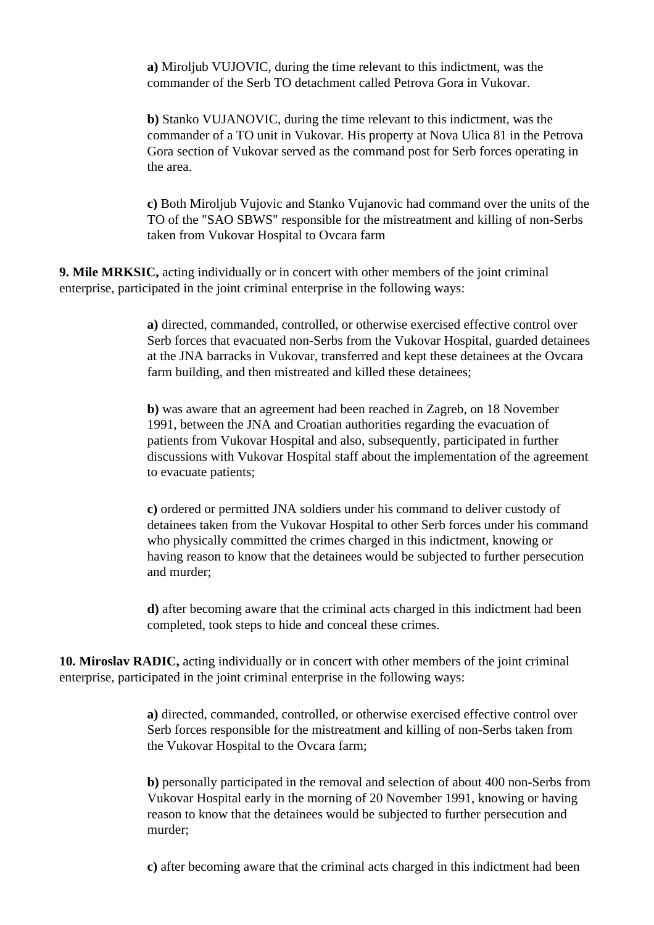**a)** Miroljub VUJOVIC, during the time relevant to this indictment, was the commander of the Serb TO detachment called Petrova Gora in Vukovar.

**b)** Stanko VUJANOVIC, during the time relevant to this indictment, was the commander of a TO unit in Vukovar. His property at Nova Ulica 81 in the Petrova Gora section of Vukovar served as the command post for Serb forces operating in the area.

**c)** Both Miroljub Vujovic and Stanko Vujanovic had command over the units of the TO of the "SAO SBWS" responsible for the mistreatment and killing of non-Serbs taken from Vukovar Hospital to Ovcara farm

**9. Mile MRKSIC,** acting individually or in concert with other members of the joint criminal enterprise, participated in the joint criminal enterprise in the following ways:

> **a)** directed, commanded, controlled, or otherwise exercised effective control over Serb forces that evacuated non-Serbs from the Vukovar Hospital, guarded detainees at the JNA barracks in Vukovar, transferred and kept these detainees at the Ovcara farm building, and then mistreated and killed these detainees;

> **b)** was aware that an agreement had been reached in Zagreb, on 18 November 1991, between the JNA and Croatian authorities regarding the evacuation of patients from Vukovar Hospital and also, subsequently, participated in further discussions with Vukovar Hospital staff about the implementation of the agreement to evacuate patients;

> **c)** ordered or permitted JNA soldiers under his command to deliver custody of detainees taken from the Vukovar Hospital to other Serb forces under his command who physically committed the crimes charged in this indictment, knowing or having reason to know that the detainees would be subjected to further persecution and murder;

**d)** after becoming aware that the criminal acts charged in this indictment had been completed, took steps to hide and conceal these crimes.

**10. Miroslav RADIC,** acting individually or in concert with other members of the joint criminal enterprise, participated in the joint criminal enterprise in the following ways:

> **a)** directed, commanded, controlled, or otherwise exercised effective control over Serb forces responsible for the mistreatment and killing of non-Serbs taken from the Vukovar Hospital to the Ovcara farm;

**b)** personally participated in the removal and selection of about 400 non-Serbs from Vukovar Hospital early in the morning of 20 November 1991, knowing or having reason to know that the detainees would be subjected to further persecution and murder;

**c)** after becoming aware that the criminal acts charged in this indictment had been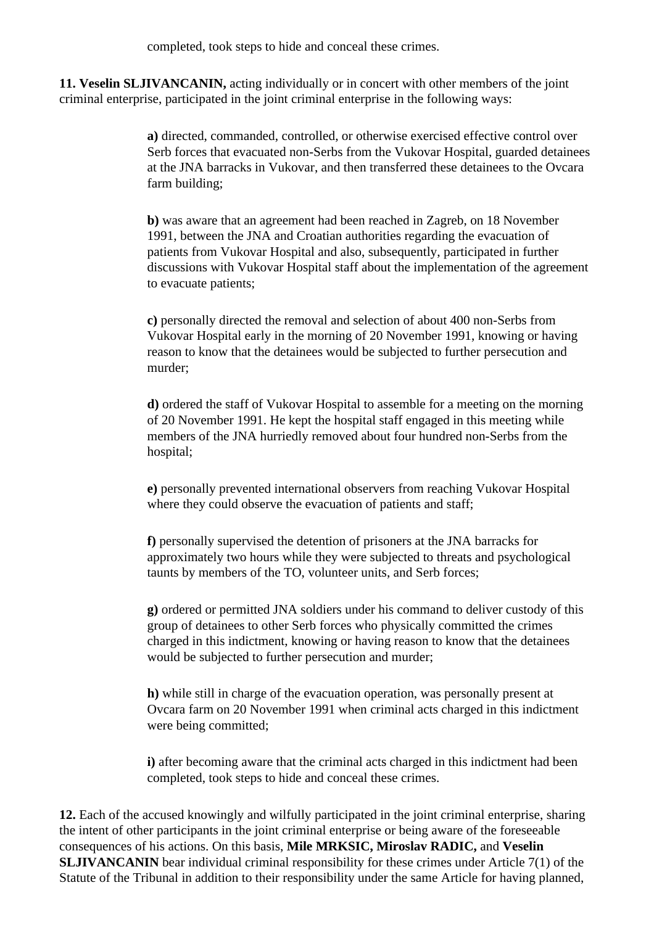**11. Veselin SLJIVANCANIN,** acting individually or in concert with other members of the joint criminal enterprise, participated in the joint criminal enterprise in the following ways:

> **a)** directed, commanded, controlled, or otherwise exercised effective control over Serb forces that evacuated non-Serbs from the Vukovar Hospital, guarded detainees at the JNA barracks in Vukovar, and then transferred these detainees to the Ovcara farm building;

> **b)** was aware that an agreement had been reached in Zagreb, on 18 November 1991, between the JNA and Croatian authorities regarding the evacuation of patients from Vukovar Hospital and also, subsequently, participated in further discussions with Vukovar Hospital staff about the implementation of the agreement to evacuate patients;

**c)** personally directed the removal and selection of about 400 non-Serbs from Vukovar Hospital early in the morning of 20 November 1991, knowing or having reason to know that the detainees would be subjected to further persecution and murder;

**d)** ordered the staff of Vukovar Hospital to assemble for a meeting on the morning of 20 November 1991. He kept the hospital staff engaged in this meeting while members of the JNA hurriedly removed about four hundred non-Serbs from the hospital;

**e)** personally prevented international observers from reaching Vukovar Hospital where they could observe the evacuation of patients and staff;

**f)** personally supervised the detention of prisoners at the JNA barracks for approximately two hours while they were subjected to threats and psychological taunts by members of the TO, volunteer units, and Serb forces;

**g)** ordered or permitted JNA soldiers under his command to deliver custody of this group of detainees to other Serb forces who physically committed the crimes charged in this indictment, knowing or having reason to know that the detainees would be subjected to further persecution and murder;

**h)** while still in charge of the evacuation operation, was personally present at Ovcara farm on 20 November 1991 when criminal acts charged in this indictment were being committed;

**i)** after becoming aware that the criminal acts charged in this indictment had been completed, took steps to hide and conceal these crimes.

**12.** Each of the accused knowingly and wilfully participated in the joint criminal enterprise, sharing the intent of other participants in the joint criminal enterprise or being aware of the foreseeable consequences of his actions. On this basis, **Mile MRKSIC, Miroslav RADIC,** and **Veselin SLJIVANCANIN** bear individual criminal responsibility for these crimes under Article 7(1) of the Statute of the Tribunal in addition to their responsibility under the same Article for having planned,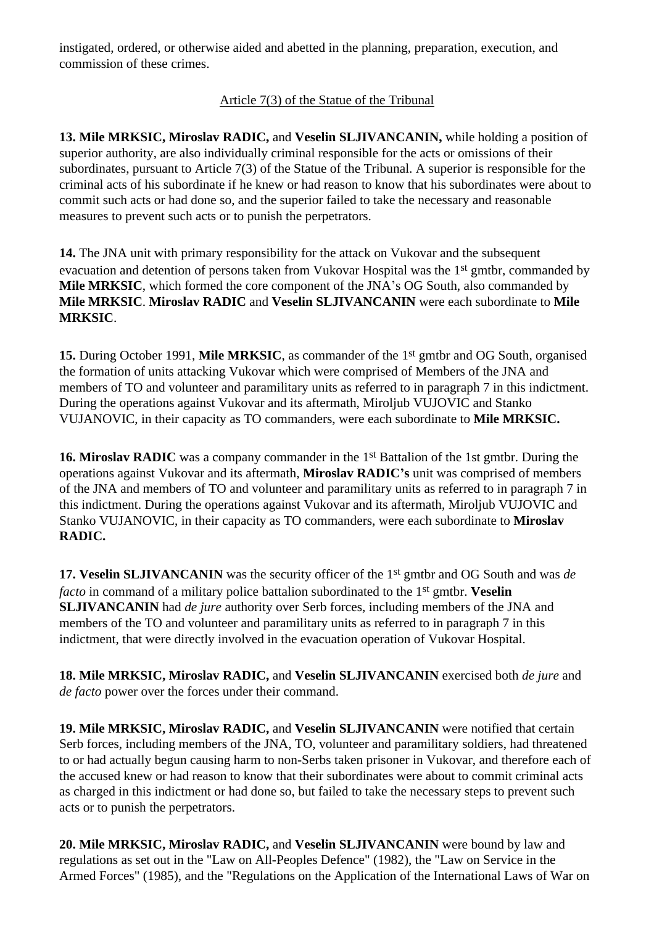instigated, ordered, or otherwise aided and abetted in the planning, preparation, execution, and commission of these crimes.

## Article 7(3) of the Statue of the Tribunal

**13. Mile MRKSIC, Miroslav RADIC,** and **Veselin SLJIVANCANIN,** while holding a position of superior authority, are also individually criminal responsible for the acts or omissions of their subordinates, pursuant to Article 7(3) of the Statue of the Tribunal. A superior is responsible for the criminal acts of his subordinate if he knew or had reason to know that his subordinates were about to commit such acts or had done so, and the superior failed to take the necessary and reasonable measures to prevent such acts or to punish the perpetrators.

**14.** The JNA unit with primary responsibility for the attack on Vukovar and the subsequent evacuation and detention of persons taken from Vukovar Hospital was the 1st gmtbr, commanded by **Mile MRKSIC**, which formed the core component of the JNA's OG South, also commanded by **Mile MRKSIC**. **Miroslav RADIC** and **Veselin SLJIVANCANIN** were each subordinate to **Mile MRKSIC**.

**15.** During October 1991, **Mile MRKSIC**, as commander of the 1st gmtbr and OG South, organised the formation of units attacking Vukovar which were comprised of Members of the JNA and members of TO and volunteer and paramilitary units as referred to in paragraph 7 in this indictment. During the operations against Vukovar and its aftermath, Miroljub VUJOVIC and Stanko VUJANOVIC, in their capacity as TO commanders, were each subordinate to **Mile MRKSIC.**

**16. Miroslav RADIC** was a company commander in the 1<sup>st</sup> Battalion of the 1st gmtbr. During the operations against Vukovar and its aftermath, **Miroslav RADIC's** unit was comprised of members of the JNA and members of TO and volunteer and paramilitary units as referred to in paragraph 7 in this indictment. During the operations against Vukovar and its aftermath, Miroljub VUJOVIC and Stanko VUJANOVIC, in their capacity as TO commanders, were each subordinate to **Miroslav RADIC.**

**17. Veselin SLJIVANCANIN** was the security officer of the 1st gmtbr and OG South and was *de facto* in command of a military police battalion subordinated to the 1<sup>st</sup> gmtbr. **Veselin SLJIVANCANIN** had *de jure* authority over Serb forces, including members of the JNA and members of the TO and volunteer and paramilitary units as referred to in paragraph 7 in this indictment, that were directly involved in the evacuation operation of Vukovar Hospital.

**18. Mile MRKSIC, Miroslav RADIC,** and **Veselin SLJIVANCANIN** exercised both *de jure* and *de facto* power over the forces under their command.

**19. Mile MRKSIC, Miroslav RADIC,** and **Veselin SLJIVANCANIN** were notified that certain Serb forces, including members of the JNA, TO, volunteer and paramilitary soldiers, had threatened to or had actually begun causing harm to non-Serbs taken prisoner in Vukovar, and therefore each of the accused knew or had reason to know that their subordinates were about to commit criminal acts as charged in this indictment or had done so, but failed to take the necessary steps to prevent such acts or to punish the perpetrators.

**20. Mile MRKSIC, Miroslav RADIC,** and **Veselin SLJIVANCANIN** were bound by law and regulations as set out in the "Law on All-Peoples Defence" (1982), the "Law on Service in the Armed Forces" (1985), and the "Regulations on the Application of the International Laws of War on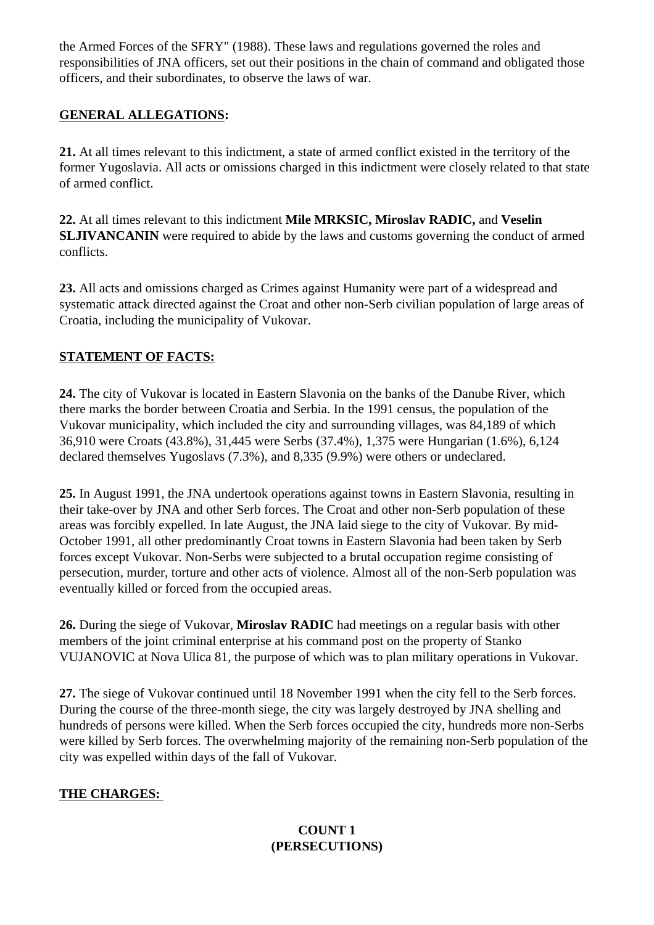the Armed Forces of the SFRY" (1988). These laws and regulations governed the roles and responsibilities of JNA officers, set out their positions in the chain of command and obligated those officers, and their subordinates, to observe the laws of war.

### **GENERAL ALLEGATIONS:**

**21.** At all times relevant to this indictment, a state of armed conflict existed in the territory of the former Yugoslavia. All acts or omissions charged in this indictment were closely related to that state of armed conflict.

**22.** At all times relevant to this indictment **Mile MRKSIC, Miroslav RADIC,** and **Veselin SLJIVANCANIN** were required to abide by the laws and customs governing the conduct of armed conflicts.

**23.** All acts and omissions charged as Crimes against Humanity were part of a widespread and systematic attack directed against the Croat and other non-Serb civilian population of large areas of Croatia, including the municipality of Vukovar.

### **STATEMENT OF FACTS:**

**24.** The city of Vukovar is located in Eastern Slavonia on the banks of the Danube River, which there marks the border between Croatia and Serbia. In the 1991 census, the population of the Vukovar municipality, which included the city and surrounding villages, was 84,189 of which 36,910 were Croats (43.8%), 31,445 were Serbs (37.4%), 1,375 were Hungarian (1.6%), 6,124 declared themselves Yugoslavs (7.3%), and 8,335 (9.9%) were others or undeclared.

**25.** In August 1991, the JNA undertook operations against towns in Eastern Slavonia, resulting in their take-over by JNA and other Serb forces. The Croat and other non-Serb population of these areas was forcibly expelled. In late August, the JNA laid siege to the city of Vukovar. By mid-October 1991, all other predominantly Croat towns in Eastern Slavonia had been taken by Serb forces except Vukovar. Non-Serbs were subjected to a brutal occupation regime consisting of persecution, murder, torture and other acts of violence. Almost all of the non-Serb population was eventually killed or forced from the occupied areas.

**26.** During the siege of Vukovar, **Miroslav RADIC** had meetings on a regular basis with other members of the joint criminal enterprise at his command post on the property of Stanko VUJANOVIC at Nova Ulica 81, the purpose of which was to plan military operations in Vukovar.

**27.** The siege of Vukovar continued until 18 November 1991 when the city fell to the Serb forces. During the course of the three-month siege, the city was largely destroyed by JNA shelling and hundreds of persons were killed. When the Serb forces occupied the city, hundreds more non-Serbs were killed by Serb forces. The overwhelming majority of the remaining non-Serb population of the city was expelled within days of the fall of Vukovar.

### **THE CHARGES:**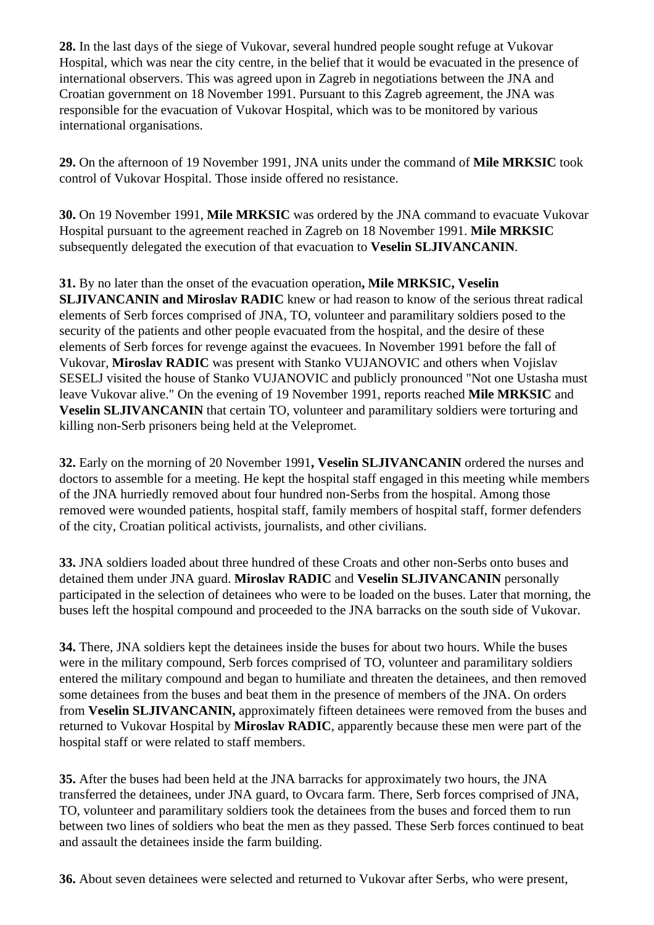**28.** In the last days of the siege of Vukovar, several hundred people sought refuge at Vukovar Hospital, which was near the city centre, in the belief that it would be evacuated in the presence of international observers. This was agreed upon in Zagreb in negotiations between the JNA and Croatian government on 18 November 1991. Pursuant to this Zagreb agreement, the JNA was responsible for the evacuation of Vukovar Hospital, which was to be monitored by various international organisations.

**29.** On the afternoon of 19 November 1991, JNA units under the command of **Mile MRKSIC** took control of Vukovar Hospital. Those inside offered no resistance.

**30.** On 19 November 1991, **Mile MRKSIC** was ordered by the JNA command to evacuate Vukovar Hospital pursuant to the agreement reached in Zagreb on 18 November 1991. **Mile MRKSIC** subsequently delegated the execution of that evacuation to **Veselin SLJIVANCANIN**.

### **31.** By no later than the onset of the evacuation operation**, Mile MRKSIC, Veselin**

**SLJIVANCANIN and Miroslav RADIC** knew or had reason to know of the serious threat radical elements of Serb forces comprised of JNA, TO, volunteer and paramilitary soldiers posed to the security of the patients and other people evacuated from the hospital, and the desire of these elements of Serb forces for revenge against the evacuees. In November 1991 before the fall of Vukovar, **Miroslav RADIC** was present with Stanko VUJANOVIC and others when Vojislav SESELJ visited the house of Stanko VUJANOVIC and publicly pronounced "Not one Ustasha must leave Vukovar alive." On the evening of 19 November 1991, reports reached **Mile MRKSIC** and **Veselin SLJIVANCANIN** that certain TO, volunteer and paramilitary soldiers were torturing and killing non-Serb prisoners being held at the Velepromet.

**32.** Early on the morning of 20 November 1991**, Veselin SLJIVANCANIN** ordered the nurses and doctors to assemble for a meeting. He kept the hospital staff engaged in this meeting while members of the JNA hurriedly removed about four hundred non-Serbs from the hospital. Among those removed were wounded patients, hospital staff, family members of hospital staff, former defenders of the city, Croatian political activists, journalists, and other civilians.

**33.** JNA soldiers loaded about three hundred of these Croats and other non-Serbs onto buses and detained them under JNA guard. **Miroslav RADIC** and **Veselin SLJIVANCANIN** personally participated in the selection of detainees who were to be loaded on the buses. Later that morning, the buses left the hospital compound and proceeded to the JNA barracks on the south side of Vukovar.

**34.** There, JNA soldiers kept the detainees inside the buses for about two hours. While the buses were in the military compound, Serb forces comprised of TO, volunteer and paramilitary soldiers entered the military compound and began to humiliate and threaten the detainees, and then removed some detainees from the buses and beat them in the presence of members of the JNA. On orders from **Veselin SLJIVANCANIN,** approximately fifteen detainees were removed from the buses and returned to Vukovar Hospital by **Miroslav RADIC**, apparently because these men were part of the hospital staff or were related to staff members.

**35.** After the buses had been held at the JNA barracks for approximately two hours, the JNA transferred the detainees, under JNA guard, to Ovcara farm. There, Serb forces comprised of JNA, TO, volunteer and paramilitary soldiers took the detainees from the buses and forced them to run between two lines of soldiers who beat the men as they passed. These Serb forces continued to beat and assault the detainees inside the farm building.

**36.** About seven detainees were selected and returned to Vukovar after Serbs, who were present,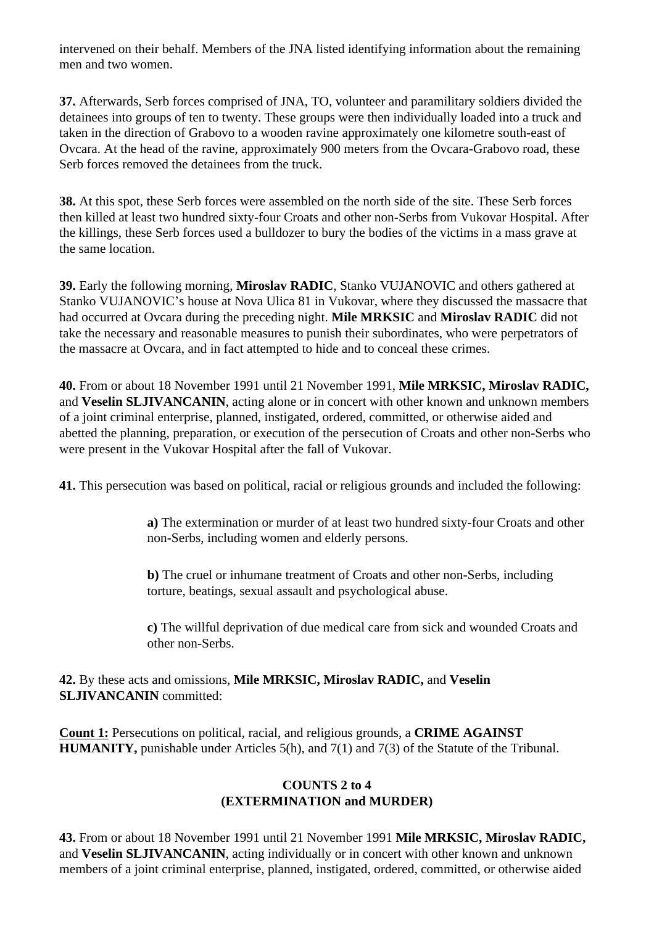intervened on their behalf. Members of the JNA listed identifying information about the remaining men and two women.

**37.** Afterwards, Serb forces comprised of JNA, TO, volunteer and paramilitary soldiers divided the detainees into groups of ten to twenty. These groups were then individually loaded into a truck and taken in the direction of Grabovo to a wooden ravine approximately one kilometre south-east of Ovcara. At the head of the ravine, approximately 900 meters from the Ovcara-Grabovo road, these Serb forces removed the detainees from the truck.

**38.** At this spot, these Serb forces were assembled on the north side of the site. These Serb forces then killed at least two hundred sixty-four Croats and other non-Serbs from Vukovar Hospital. After the killings, these Serb forces used a bulldozer to bury the bodies of the victims in a mass grave at the same location.

**39.** Early the following morning, **Miroslav RADIC**, Stanko VUJANOVIC and others gathered at Stanko VUJANOVIC's house at Nova Ulica 81 in Vukovar, where they discussed the massacre that had occurred at Ovcara during the preceding night. **Mile MRKSIC** and **Miroslav RADIC** did not take the necessary and reasonable measures to punish their subordinates, who were perpetrators of the massacre at Ovcara, and in fact attempted to hide and to conceal these crimes.

**40.** From or about 18 November 1991 until 21 November 1991, **Mile MRKSIC, Miroslav RADIC,**  and **Veselin SLJIVANCANIN**, acting alone or in concert with other known and unknown members of a joint criminal enterprise, planned, instigated, ordered, committed, or otherwise aided and abetted the planning, preparation, or execution of the persecution of Croats and other non-Serbs who were present in the Vukovar Hospital after the fall of Vukovar.

**41.** This persecution was based on political, racial or religious grounds and included the following:

**a)** The extermination or murder of at least two hundred sixty-four Croats and other non-Serbs, including women and elderly persons.

**b)** The cruel or inhumane treatment of Croats and other non-Serbs, including torture, beatings, sexual assault and psychological abuse.

**c)** The willful deprivation of due medical care from sick and wounded Croats and other non-Serbs.

**42.** By these acts and omissions, **Mile MRKSIC, Miroslav RADIC,** and **Veselin SLJIVANCANIN** committed:

**Count 1:** Persecutions on political, racial, and religious grounds, a **CRIME AGAINST HUMANITY,** punishable under Articles 5(h), and 7(1) and 7(3) of the Statute of the Tribunal.

### **COUNTS 2 to 4 (EXTERMINATION and MURDER)**

**43.** From or about 18 November 1991 until 21 November 1991 **Mile MRKSIC, Miroslav RADIC,**  and **Veselin SLJIVANCANIN**, acting individually or in concert with other known and unknown members of a joint criminal enterprise, planned, instigated, ordered, committed, or otherwise aided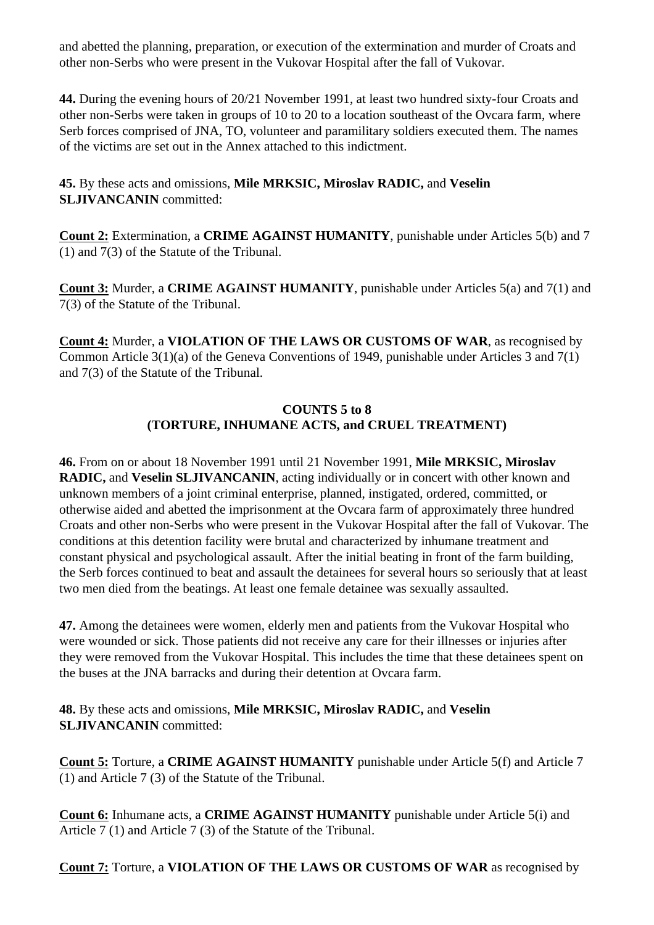and abetted the planning, preparation, or execution of the extermination and murder of Croats and other non-Serbs who were present in the Vukovar Hospital after the fall of Vukovar.

**44.** During the evening hours of 20/21 November 1991, at least two hundred sixty-four Croats and other non-Serbs were taken in groups of 10 to 20 to a location southeast of the Ovcara farm, where Serb forces comprised of JNA, TO, volunteer and paramilitary soldiers executed them. The names of the victims are set out in the Annex attached to this indictment.

#### **45.** By these acts and omissions, **Mile MRKSIC, Miroslav RADIC,** and **Veselin SLJIVANCANIN** committed:

**Count 2:** Extermination, a **CRIME AGAINST HUMANITY**, punishable under Articles 5(b) and 7 (1) and 7(3) of the Statute of the Tribunal.

**Count 3:** Murder, a **CRIME AGAINST HUMANITY**, punishable under Articles 5(a) and 7(1) and 7(3) of the Statute of the Tribunal.

**Count 4:** Murder, a **VIOLATION OF THE LAWS OR CUSTOMS OF WAR**, as recognised by Common Article 3(1)(a) of the Geneva Conventions of 1949, punishable under Articles 3 and 7(1) and 7(3) of the Statute of the Tribunal.

### **COUNTS 5 to 8 (TORTURE, INHUMANE ACTS, and CRUEL TREATMENT)**

**46.** From on or about 18 November 1991 until 21 November 1991, **Mile MRKSIC, Miroslav RADIC,** and **Veselin SLJIVANCANIN**, acting individually or in concert with other known and unknown members of a joint criminal enterprise, planned, instigated, ordered, committed, or otherwise aided and abetted the imprisonment at the Ovcara farm of approximately three hundred Croats and other non-Serbs who were present in the Vukovar Hospital after the fall of Vukovar. The conditions at this detention facility were brutal and characterized by inhumane treatment and constant physical and psychological assault. After the initial beating in front of the farm building, the Serb forces continued to beat and assault the detainees for several hours so seriously that at least two men died from the beatings. At least one female detainee was sexually assaulted.

**47.** Among the detainees were women, elderly men and patients from the Vukovar Hospital who were wounded or sick. Those patients did not receive any care for their illnesses or injuries after they were removed from the Vukovar Hospital. This includes the time that these detainees spent on the buses at the JNA barracks and during their detention at Ovcara farm.

**48.** By these acts and omissions, **Mile MRKSIC, Miroslav RADIC,** and **Veselin SLJIVANCANIN** committed:

**Count 5:** Torture, a **CRIME AGAINST HUMANITY** punishable under Article 5(f) and Article 7 (1) and Article 7 (3) of the Statute of the Tribunal.

**Count 6:** Inhumane acts, a **CRIME AGAINST HUMANITY** punishable under Article 5(i) and Article 7 (1) and Article 7 (3) of the Statute of the Tribunal.

**Count 7:** Torture, a **VIOLATION OF THE LAWS OR CUSTOMS OF WAR** as recognised by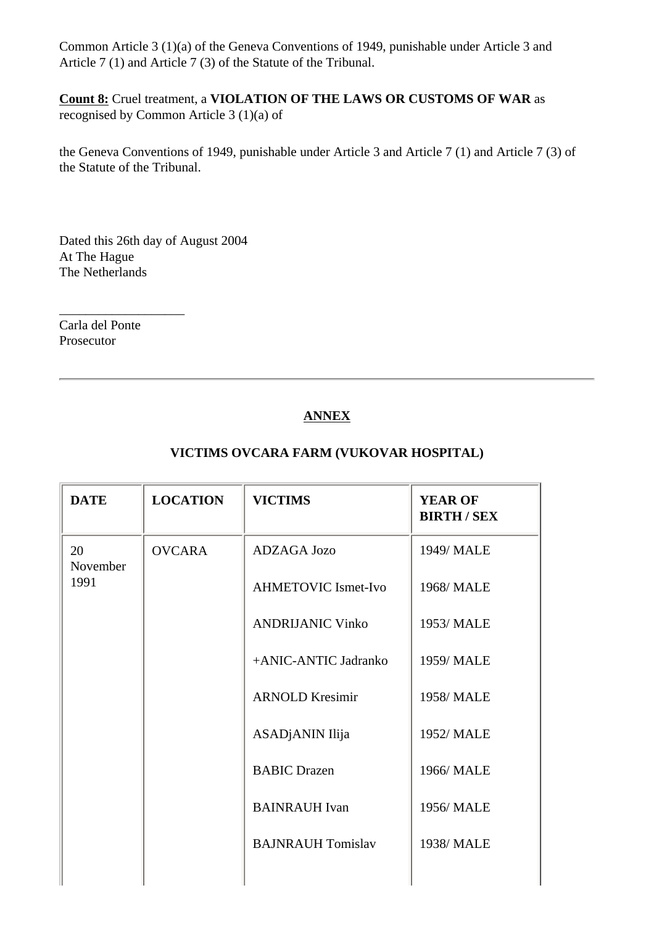Common Article 3 (1)(a) of the Geneva Conventions of 1949, punishable under Article 3 and Article 7 (1) and Article 7 (3) of the Statute of the Tribunal.

**Count 8:** Cruel treatment, a **VIOLATION OF THE LAWS OR CUSTOMS OF WAR** as recognised by Common Article 3 (1)(a) of

the Geneva Conventions of 1949, punishable under Article 3 and Article 7 (1) and Article 7 (3) of the Statute of the Tribunal.

Dated this 26th day of August 2004 At The Hague The Netherlands

Carla del Ponte Prosecutor

\_\_\_\_\_\_\_\_\_\_\_\_\_\_\_\_\_\_\_

## **ANNEX**

## **VICTIMS OVCARA FARM (VUKOVAR HOSPITAL)**

| <b>DATE</b>    | <b>LOCATION</b> | <b>VICTIMS</b>             | <b>YEAR OF</b><br><b>BIRTH / SEX</b> |
|----------------|-----------------|----------------------------|--------------------------------------|
| 20<br>November | <b>OVCARA</b>   | <b>ADZAGA Jozo</b>         | 1949/ MALE                           |
| 1991           |                 | <b>AHMETOVIC Ismet-Ivo</b> | 1968/ MALE                           |
|                |                 | <b>ANDRIJANIC Vinko</b>    | 1953/ MALE                           |
|                |                 | +ANIC-ANTIC Jadranko       | 1959/ MALE                           |
|                |                 | <b>ARNOLD Kresimir</b>     | 1958/MALE                            |
|                |                 | ASADjANIN Ilija            | 1952/ MALE                           |
|                |                 | <b>BABIC</b> Drazen        | 1966/ MALE                           |
|                |                 | <b>BAINRAUH</b> Ivan       | 1956/ MALE                           |
|                |                 | <b>BAJNRAUH Tomislav</b>   | 1938/ MALE                           |
|                |                 |                            |                                      |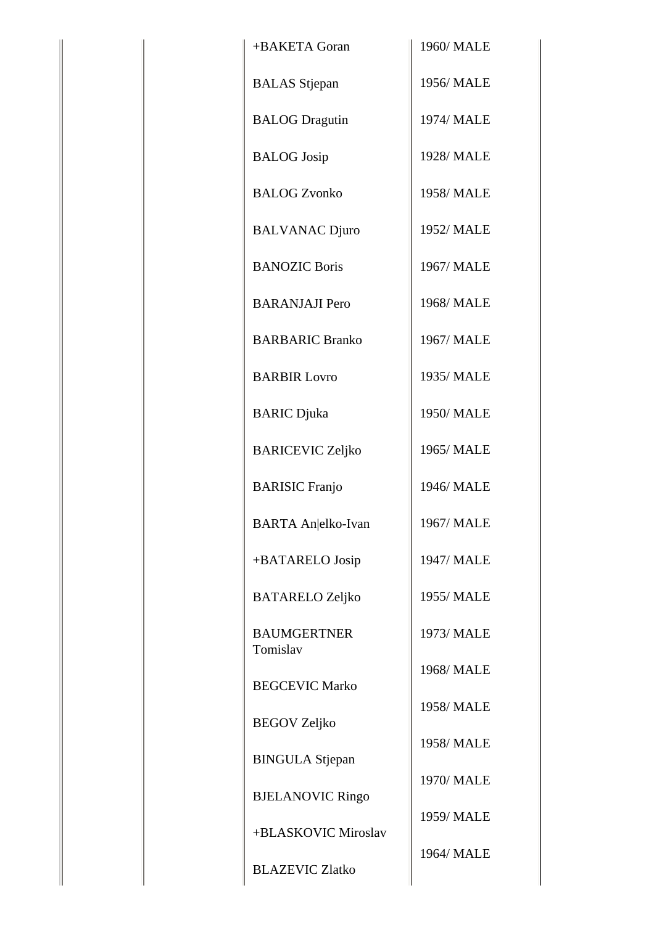| +BAKETA Goran                                  | 1960/ MALE |
|------------------------------------------------|------------|
| <b>BALAS</b> Stjepan                           | 1956/MALE  |
| <b>BALOG</b> Dragutin                          | 1974/ MALE |
| <b>BALOG</b> Josip                             | 1928/ MALE |
| <b>BALOG Zvonko</b>                            | 1958/MALE  |
| <b>BALVANAC Djuro</b>                          | 1952/ MALE |
| <b>BANOZIC Boris</b>                           | 1967/ MALE |
| <b>BARANJAJI</b> Pero                          | 1968/MALE  |
| <b>BARBARIC Branko</b>                         | 1967/ MALE |
| <b>BARBIR Lovro</b>                            | 1935/ MALE |
| <b>BARIC</b> Djuka                             | 1950/MALE  |
| <b>BARICEVIC Zeljko</b>                        | 1965/MALE  |
| <b>BARISIC</b> Franjo                          | 1946/ MALE |
| BARTA An elko-Ivan                             | 1967/ MALE |
| +BATARELO Josip                                | 1947/ MALE |
| <b>BATARELO Zeljko</b>                         | 1955/MALE  |
| <b>BAUMGERTNER</b><br>Tomislav                 | 1973/ MALE |
| <b>BEGCEVIC Marko</b>                          | 1968/ MALE |
| <b>BEGOV Zeljko</b>                            | 1958/MALE  |
| <b>BINGULA</b> Stjepan                         | 1958/MALE  |
|                                                | 1970/ MALE |
| <b>BJELANOVIC Ringo</b><br>+BLASKOVIC Miroslav | 1959/ MALE |
|                                                | 1964/ MALE |
| <b>BLAZEVIC Zlatko</b>                         |            |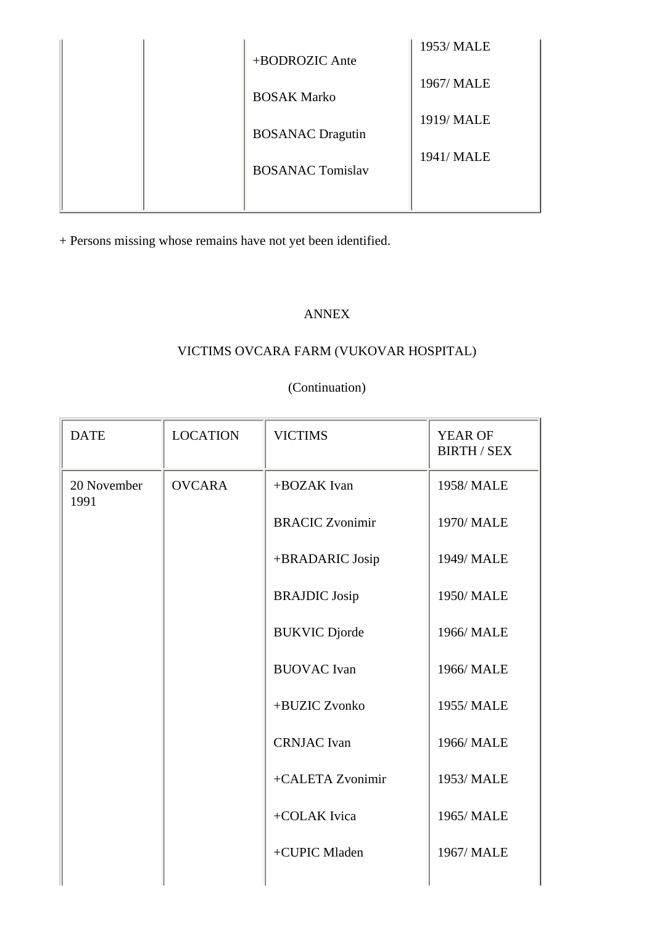| +BODROZIC Ante          | 1953/ MALE |
|-------------------------|------------|
| <b>BOSAK Marko</b>      | 1967/ MALE |
| <b>BOSANAC Dragutin</b> | 1919/ MALE |
|                         | 1941/ MALE |
| <b>BOSANAC Tomislav</b> |            |

+ Persons missing whose remains have not yet been identified.

### ANNEX

# VICTIMS OVCARA FARM (VUKOVAR HOSPITAL)

| <b>DATE</b>         | <b>LOCATION</b> | <b>VICTIMS</b>         | <b>YEAR OF</b><br><b>BIRTH / SEX</b> |
|---------------------|-----------------|------------------------|--------------------------------------|
| 20 November<br>1991 | <b>OVCARA</b>   | +BOZAK Ivan            | 1958/MALE                            |
|                     |                 | <b>BRACIC Zvonimir</b> | 1970/ MALE                           |
|                     |                 | +BRADARIC Josip        | 1949/ MALE                           |
|                     |                 | <b>BRAJDIC</b> Josip   | 1950/MALE                            |
|                     |                 | <b>BUKVIC</b> Djorde   | 1966/ MALE                           |
|                     |                 | <b>BUOVAC</b> Ivan     | 1966/ MALE                           |
|                     |                 | +BUZIC Zvonko          | 1955/MALE                            |
|                     |                 | <b>CRNJAC</b> Ivan     | 1966/ MALE                           |
|                     |                 | +CALETA Zvonimir       | 1953/ MALE                           |
|                     |                 | +COLAK Ivica           | 1965/MALE                            |
|                     |                 | +CUPIC Mladen          | 1967/ MALE                           |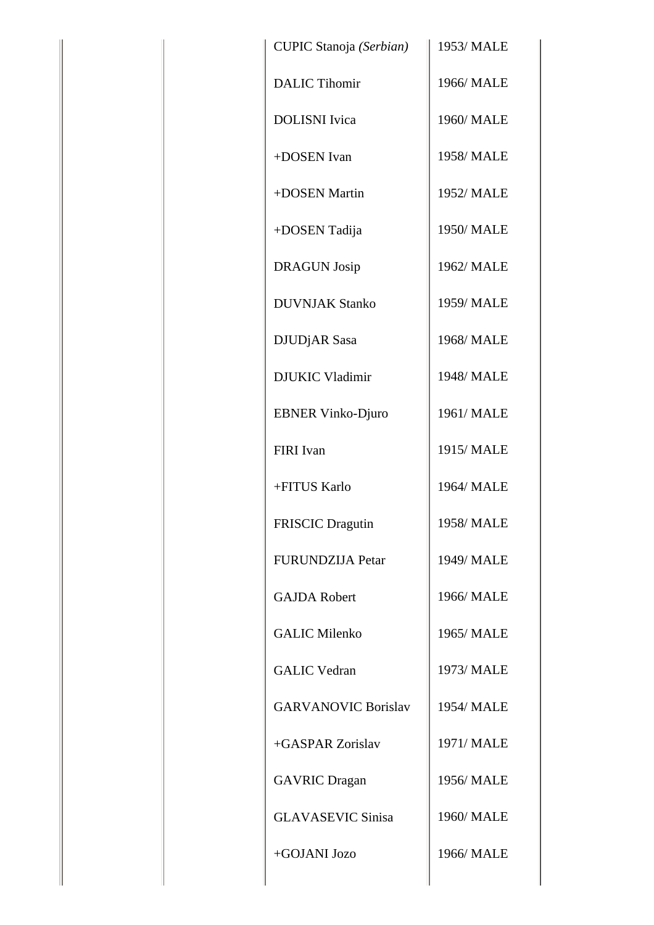| CUPIC Stanoja (Serbian)    | 1953/ MALE |
|----------------------------|------------|
| <b>DALIC Tihomir</b>       | 1966/ MALE |
| <b>DOLISNI</b> Ivica       | 1960/ MALE |
| +DOSEN Ivan                | 1958/MALE  |
| +DOSEN Martin              | 1952/ MALE |
| +DOSEN Tadija              | 1950/MALE  |
| <b>DRAGUN Josip</b>        | 1962/ MALE |
| <b>DUVNJAK Stanko</b>      | 1959/ MALE |
| <b>DJUDjAR</b> Sasa        | 1968/MALE  |
| <b>DJUKIC Vladimir</b>     | 1948/ MALE |
| <b>EBNER Vinko-Djuro</b>   | 1961/MALE  |
| FIRI Ivan                  | 1915/MALE  |
| +FITUS Karlo               | 1964/ MALE |
| <b>FRISCIC</b> Dragutin    | 1958/ MALE |
| <b>FURUNDZIJA Petar</b>    | 1949/ MALE |
| <b>GAJDA Robert</b>        | 1966/MALE  |
| <b>GALIC Milenko</b>       | 1965/MALE  |
| <b>GALIC Vedran</b>        | 1973/ MALE |
| <b>GARVANOVIC Borislav</b> | 1954/ MALE |
| +GASPAR Zorislav           | 1971/ MALE |
| <b>GAVRIC Dragan</b>       | 1956/MALE  |
| <b>GLAVASEVIC Sinisa</b>   | 1960/MALE  |
| +GOJANI Jozo               | 1966/ MALE |
|                            |            |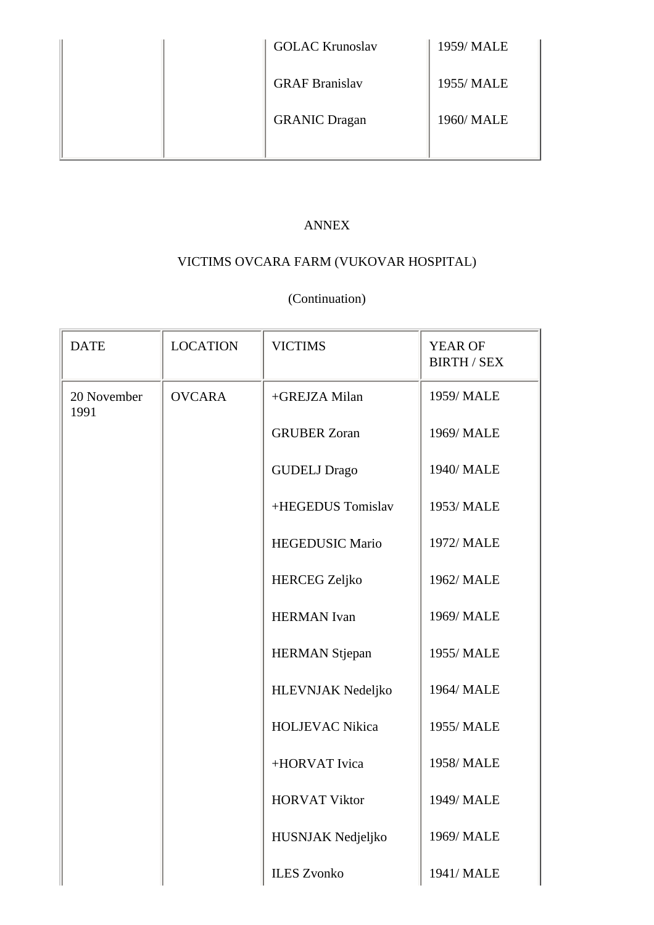| <b>GOLAC Krunoslav</b> | 1959/ MALE |
|------------------------|------------|
| <b>GRAF Branislav</b>  | 1955/ MALE |
| <b>GRANIC Dragan</b>   | 1960/ MALE |
|                        |            |

# VICTIMS OVCARA FARM (VUKOVAR HOSPITAL)

| <b>DATE</b>         | <b>LOCATION</b> | <b>VICTIMS</b>         | <b>YEAR OF</b><br><b>BIRTH / SEX</b> |
|---------------------|-----------------|------------------------|--------------------------------------|
| 20 November<br>1991 | <b>OVCARA</b>   | +GREJZA Milan          | 1959/ MALE                           |
|                     |                 | <b>GRUBER Zoran</b>    | 1969/ MALE                           |
|                     |                 | <b>GUDELJ</b> Drago    | 1940/ MALE                           |
|                     |                 | +HEGEDUS Tomislav      | 1953/ MALE                           |
|                     |                 | <b>HEGEDUSIC Mario</b> | 1972/ MALE                           |
|                     |                 | <b>HERCEG</b> Zeljko   | 1962/ MALE                           |
|                     |                 | <b>HERMAN</b> Ivan     | 1969/ MALE                           |
|                     |                 | HERMAN Stjepan         | 1955/MALE                            |
|                     |                 | HLEVNJAK Nedeljko      | 1964/ MALE                           |
|                     |                 | <b>HOLJEVAC Nikica</b> | 1955/MALE                            |
|                     |                 | +HORVAT Ivica          | 1958/MALE                            |
|                     |                 | <b>HORVAT Viktor</b>   | 1949/ MALE                           |
|                     |                 | HUSNJAK Nedjeljko      | 1969/MALE                            |
|                     |                 | <b>ILES Zvonko</b>     | 1941/ MALE                           |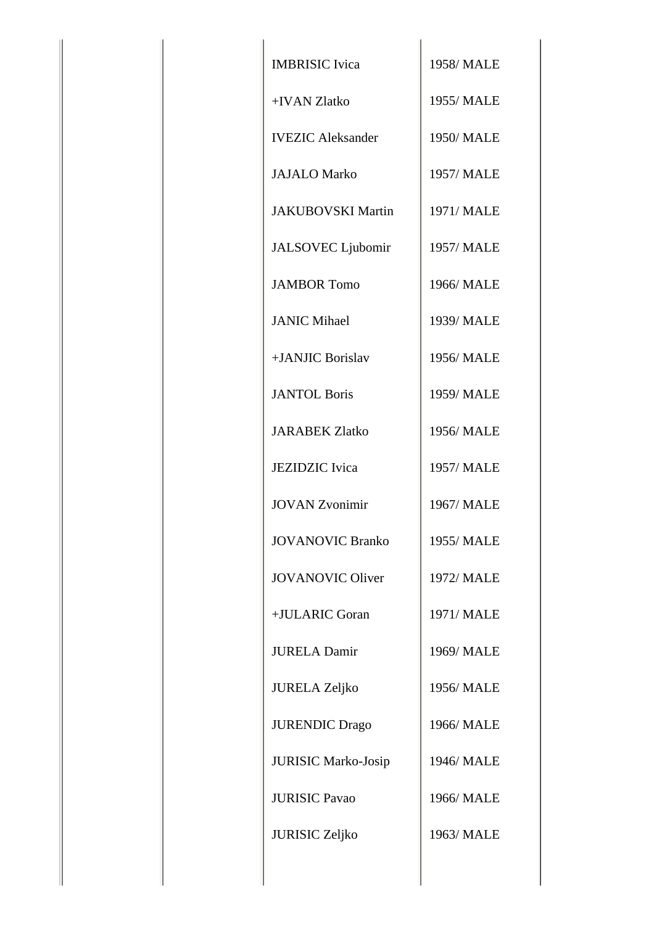| <b>IMBRISIC</b> Ivica      | 1958/MALE  |
|----------------------------|------------|
| +IVAN Zlatko               | 1955/MALE  |
| <b>IVEZIC Aleksander</b>   | 1950/MALE  |
| <b>JAJALO Marko</b>        | 1957/ MALE |
| <b>JAKUBOVSKI Martin</b>   | 1971/ MALE |
| <b>JALSOVEC</b> Ljubomir   | 1957/ MALE |
| <b>JAMBOR Tomo</b>         | 1966/MALE  |
| <b>JANIC Mihael</b>        | 1939/ MALE |
| +JANJIC Borislav           | 1956/MALE  |
| <b>JANTOL Boris</b>        | 1959/MALE  |
| <b>JARABEK Zlatko</b>      | 1956/MALE  |
| <b>JEZIDZIC</b> Ivica      | 1957/ MALE |
| <b>JOVAN Zvonimir</b>      | 1967/MALE  |
| <b>JOVANOVIC Branko</b>    | 1955/MALE  |
| <b>JOVANOVIC Oliver</b>    | 1972/ MALE |
| +JULARIC Goran             | 1971/ MALE |
| <b>JURELA Damir</b>        | 1969/ MALE |
| <b>JURELA Zeljko</b>       | 1956/MALE  |
| <b>JURENDIC Drago</b>      | 1966/ MALE |
| <b>JURISIC Marko-Josip</b> | 1946/ MALE |
| <b>JURISIC Pavao</b>       | 1966/ MALE |
| <b>JURISIC Zeljko</b>      | 1963/ MALE |
|                            |            |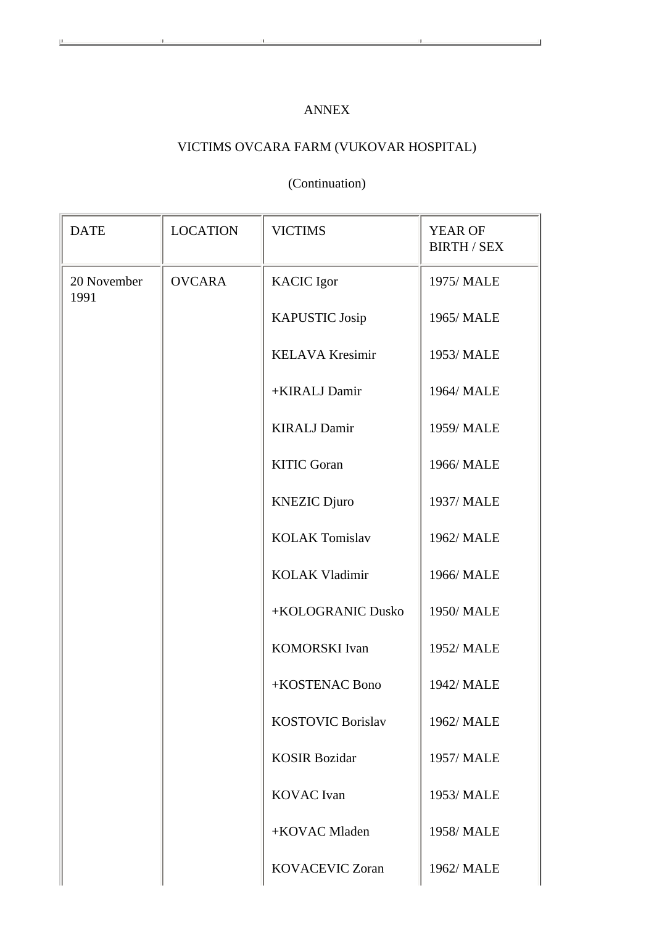J)

 $\bar{\mu}$ 

# VICTIMS OVCARA FARM (VUKOVAR HOSPITAL)

| <b>DATE</b>         | <b>LOCATION</b> | <b>VICTIMS</b>           | <b>YEAR OF</b><br><b>BIRTH / SEX</b> |
|---------------------|-----------------|--------------------------|--------------------------------------|
| 20 November<br>1991 | <b>OVCARA</b>   | <b>KACIC</b> Igor        | 1975/MALE                            |
|                     |                 | <b>KAPUSTIC Josip</b>    | 1965/MALE                            |
|                     |                 | <b>KELAVA Kresimir</b>   | 1953/ MALE                           |
|                     |                 | +KIRALJ Damir            | 1964/ MALE                           |
|                     |                 | <b>KIRALJ Damir</b>      | 1959/ MALE                           |
|                     |                 | <b>KITIC Goran</b>       | 1966/ MALE                           |
|                     |                 | <b>KNEZIC Djuro</b>      | 1937/ MALE                           |
|                     |                 | <b>KOLAK Tomislav</b>    | 1962/ MALE                           |
|                     |                 | <b>KOLAK Vladimir</b>    | 1966/ MALE                           |
|                     |                 | +KOLOGRANIC Dusko        | 1950/MALE                            |
|                     |                 | <b>KOMORSKI</b> Ivan     | 1952/ MALE                           |
|                     |                 | +KOSTENAC Bono           | 1942/ MALE                           |
|                     |                 | <b>KOSTOVIC Borislav</b> | 1962/ MALE                           |
|                     |                 | <b>KOSIR Bozidar</b>     | 1957/ MALE                           |
|                     |                 | <b>KOVAC</b> Ivan        | 1953/ MALE                           |
|                     |                 | +KOVAC Mladen            | 1958/MALE                            |
|                     |                 | <b>KOVACEVIC Zoran</b>   | 1962/ MALE                           |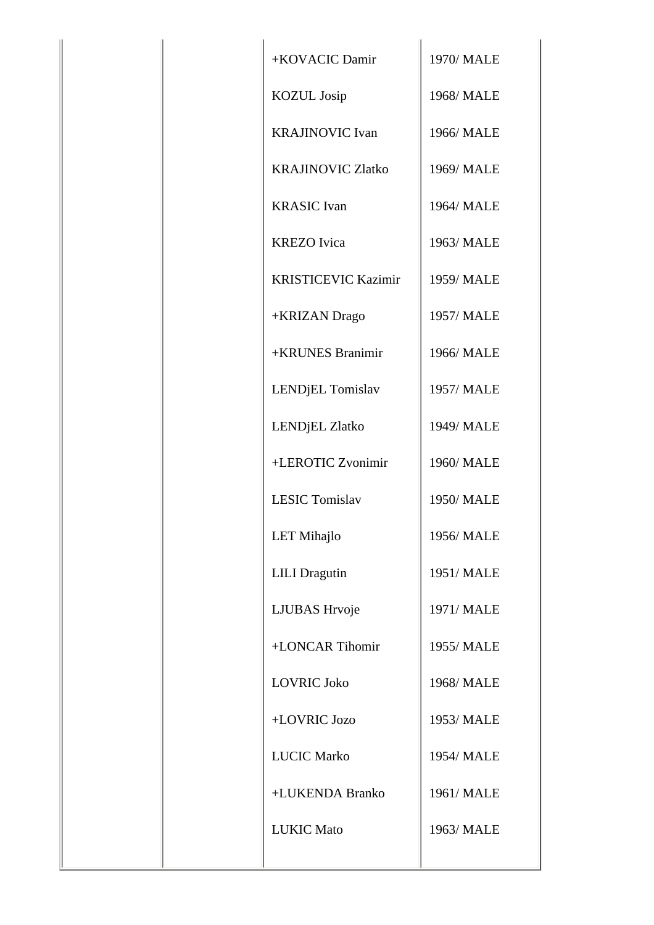| +KOVACIC Damir                | 1970/ MALE |
|-------------------------------|------------|
| <b>KOZUL</b> Josip            | 1968/MALE  |
| <b>KRAJINOVIC Ivan</b>        | 1966/MALE  |
| <b>KRAJINOVIC Zlatko</b>      | 1969/ MALE |
| <b>KRASIC</b> Ivan            | 1964/ MALE |
| <b>KREZO</b> Ivica            | 1963/ MALE |
| <b>KRISTICEVIC Kazimir</b>    | 1959/ MALE |
| +KRIZAN Drago                 | 1957/ MALE |
| +KRUNES Branimir              | 1966/ MALE |
| LEND <sub>j</sub> EL Tomislav | 1957/ MALE |
| LENDjEL Zlatko                | 1949/ MALE |
| +LEROTIC Zvonimir             | 1960/MALE  |
| <b>LESIC Tomislav</b>         | 1950/MALE  |
| <b>LET Mihajlo</b>            | 1956/MALE  |
| <b>LILI</b> Dragutin          | 1951/MALE  |
| LJUBAS Hrvoje                 | 1971/ MALE |
| +LONCAR Tihomir               | 1955/MALE  |
| <b>LOVRIC Joko</b>            | 1968/MALE  |
| +LOVRIC Jozo                  | 1953/ MALE |
| <b>LUCIC Marko</b>            | 1954/ MALE |
| +LUKENDA Branko               | 1961/ MALE |
| <b>LUKIC Mato</b>             | 1963/ MALE |
|                               |            |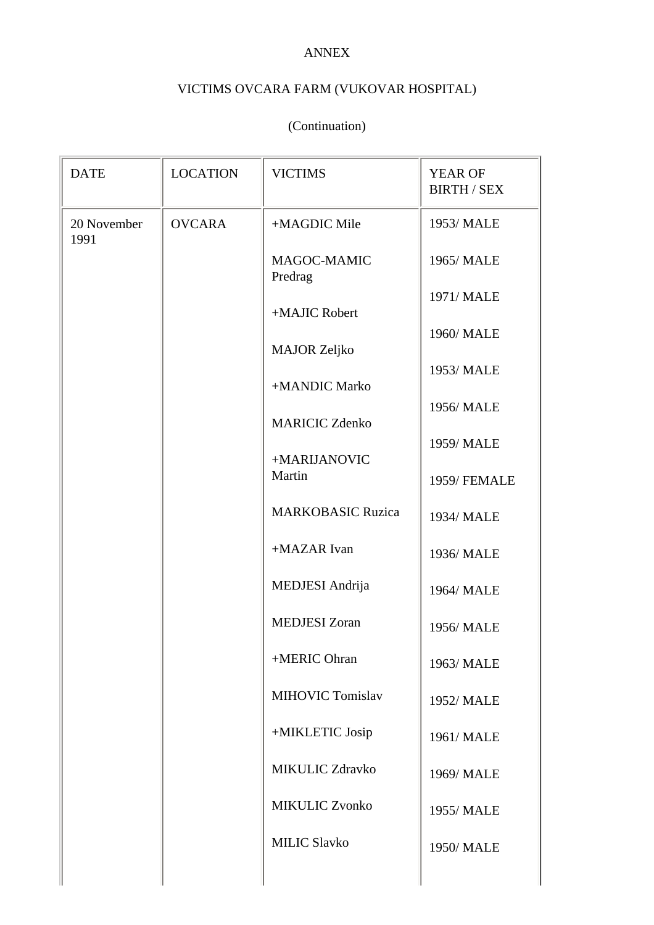# VICTIMS OVCARA FARM (VUKOVAR HOSPITAL)

| <b>DATE</b>         | <b>LOCATION</b> | <b>VICTIMS</b>           | <b>YEAR OF</b><br><b>BIRTH / SEX</b> |
|---------------------|-----------------|--------------------------|--------------------------------------|
| 20 November<br>1991 | <b>OVCARA</b>   | +MAGDIC Mile             | 1953/ MALE                           |
|                     |                 | MAGOC-MAMIC<br>Predrag   | 1965/MALE                            |
|                     |                 | +MAJIC Robert            | 1971/ MALE                           |
|                     |                 | <b>MAJOR Zeljko</b>      | 1960/MALE                            |
|                     |                 | +MANDIC Marko            | 1953/ MALE                           |
|                     |                 | <b>MARICIC Zdenko</b>    | 1956/ MALE                           |
|                     |                 | +MARIJANOVIC             | 1959/ MALE                           |
|                     |                 | Martin                   | 1959/ FEMALE                         |
|                     |                 | <b>MARKOBASIC Ruzica</b> | 1934/ MALE                           |
|                     |                 | +MAZAR Ivan              | 1936/ MALE                           |
|                     |                 | MEDJESI Andrija          | 1964/ MALE                           |
|                     |                 | <b>MEDJESI Zoran</b>     | 1956/MALE                            |
|                     |                 | +MERIC Ohran             | 1963/ MALE                           |
|                     |                 | <b>MIHOVIC Tomislav</b>  | 1952/ MALE                           |
|                     |                 | +MIKLETIC Josip          | 1961/MALE                            |
|                     |                 | <b>MIKULIC Zdravko</b>   | 1969/ MALE                           |
|                     |                 | <b>MIKULIC Zvonko</b>    | 1955/MALE                            |
|                     |                 | <b>MILIC Slavko</b>      | 1950/MALE                            |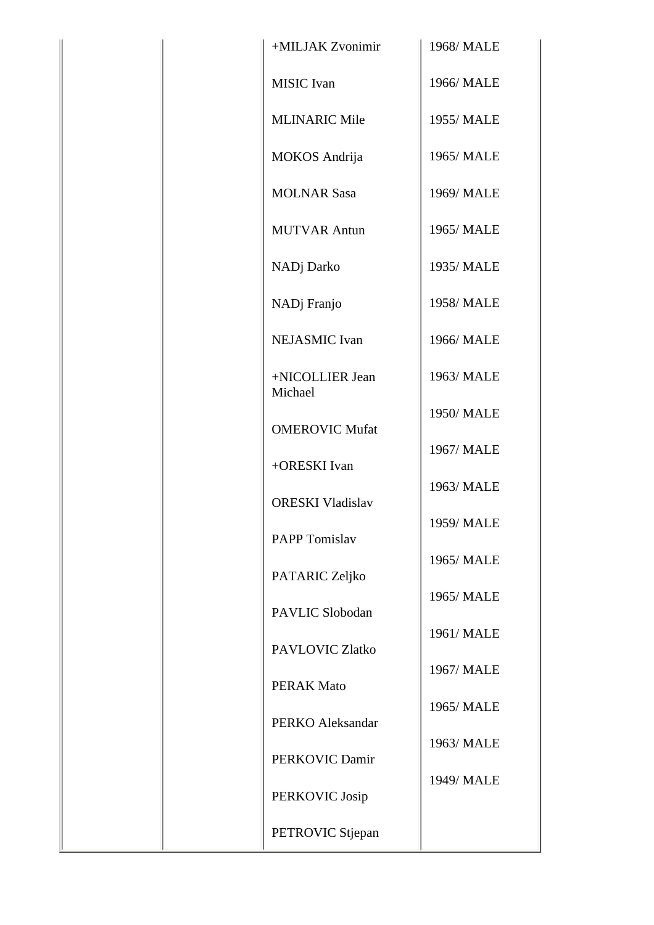|  | +MILJAK Zvonimir           | 1968/ MALE |
|--|----------------------------|------------|
|  | <b>MISIC</b> Ivan          | 1966/ MALE |
|  | <b>MLINARIC Mile</b>       | 1955/MALE  |
|  | MOKOS Andrija              | 1965/MALE  |
|  | <b>MOLNAR Sasa</b>         | 1969/ MALE |
|  | <b>MUTVAR Antun</b>        | 1965/MALE  |
|  | NADj Darko                 | 1935/ MALE |
|  | NADj Franjo                | 1958/MALE  |
|  | NEJASMIC Ivan              | 1966/ MALE |
|  | +NICOLLIER Jean<br>Michael | 1963/ MALE |
|  | <b>OMEROVIC Mufat</b>      | 1950/MALE  |
|  | +ORESKI Ivan               | 1967/ MALE |
|  | <b>ORESKI Vladislav</b>    | 1963/ MALE |
|  | <b>PAPP Tomislav</b>       | 1959/ MALE |
|  | PATARIC Zeljko             | 1965/MALE  |
|  | PAVLIC Slobodan            | 1965/MALE  |
|  | <b>PAVLOVIC Zlatko</b>     | 1961/ MALE |
|  | <b>PERAK Mato</b>          | 1967/ MALE |
|  | PERKO Aleksandar           | 1965/MALE  |
|  | PERKOVIC Damir             | 1963/ MALE |
|  | PERKOVIC Josip             | 1949/ MALE |
|  | PETROVIC Stjepan           |            |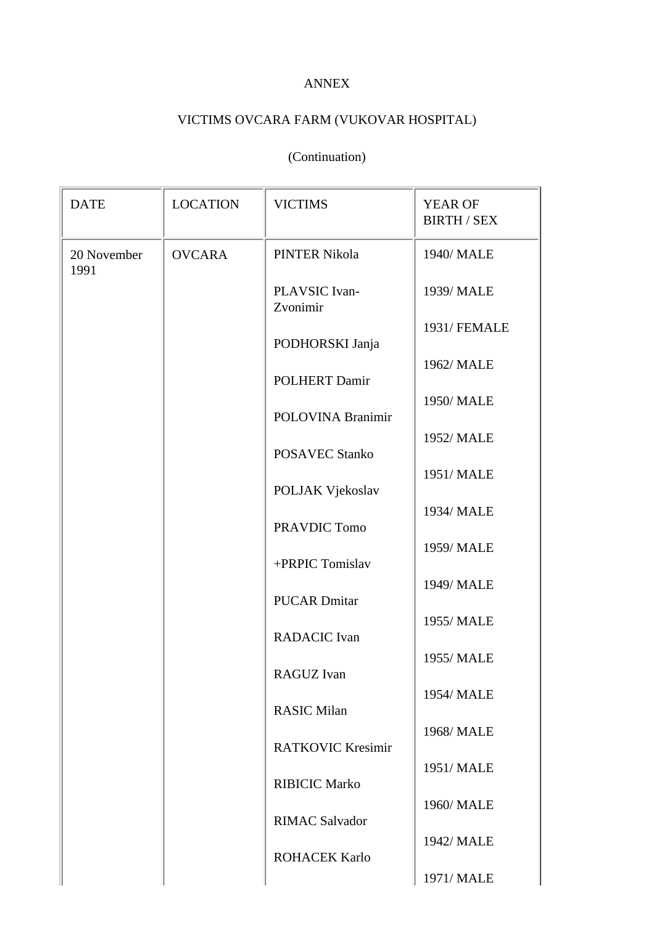# VICTIMS OVCARA FARM (VUKOVAR HOSPITAL)

| <b>DATE</b>         | <b>LOCATION</b> | <b>VICTIMS</b>            | <b>YEAR OF</b><br><b>BIRTH / SEX</b> |
|---------------------|-----------------|---------------------------|--------------------------------------|
| 20 November<br>1991 | <b>OVCARA</b>   | <b>PINTER Nikola</b>      | 1940/ MALE                           |
|                     |                 | PLAVSIC Ivan-<br>Zvonimir | 1939/ MALE                           |
|                     |                 | PODHORSKI Janja           | 1931/ FEMALE                         |
|                     |                 | <b>POLHERT Damir</b>      | 1962/ MALE                           |
|                     |                 | POLOVINA Branimir         | 1950/MALE                            |
|                     |                 | <b>POSAVEC Stanko</b>     | 1952/ MALE                           |
|                     |                 | POLJAK Vjekoslav          | 1951/MALE                            |
|                     |                 | PRAVDIC Tomo              | 1934/ MALE                           |
|                     |                 | +PRPIC Tomislav           | 1959/ MALE                           |
|                     |                 | <b>PUCAR Dmitar</b>       | 1949/ MALE                           |
|                     |                 | <b>RADACIC</b> Ivan       | 1955/ MALE                           |
|                     |                 | RAGUZ Ivan                | 1955/MALE                            |
|                     |                 | <b>RASIC Milan</b>        | 1954/ MALE                           |
|                     |                 | <b>RATKOVIC Kresimir</b>  | 1968/ MALE                           |
|                     |                 | <b>RIBICIC Marko</b>      | 1951/MALE                            |
|                     |                 | <b>RIMAC Salvador</b>     | 1960/ MALE                           |
|                     |                 | <b>ROHACEK Karlo</b>      | 1942/ MALE                           |
|                     |                 |                           | 1971/ MALE                           |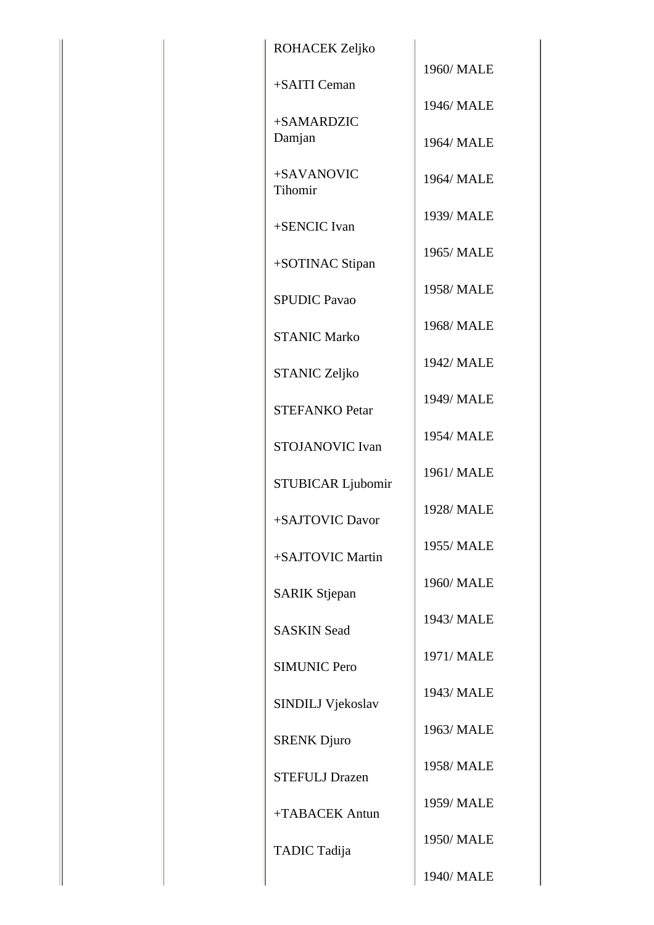| ROHACEK Zeljko           |            |
|--------------------------|------------|
| +SAITI Ceman             | 1960/MALE  |
| +SAMARDZIC               | 1946/ MALE |
| Damjan                   | 1964/ MALE |
| +SAVANOVIC<br>Tihomir    | 1964/ MALE |
| +SENCIC Ivan             | 1939/ MALE |
| +SOTINAC Stipan          | 1965/MALE  |
| <b>SPUDIC Pavao</b>      | 1958/MALE  |
| <b>STANIC Marko</b>      | 1968/MALE  |
| STANIC Zeljko            | 1942/ MALE |
| <b>STEFANKO Petar</b>    | 1949/ MALE |
| <b>STOJANOVIC Ivan</b>   | 1954/ MALE |
| <b>STUBICAR Ljubomir</b> | 1961/MALE  |
| +SAJTOVIC Davor          | 1928/ MALE |
| +SAJTOVIC Martin         | 1955/MALE  |
| <b>SARIK Stjepan</b>     | 1960/MALE  |
| <b>SASKIN Sead</b>       | 1943/ MALE |
| <b>SIMUNIC Pero</b>      | 1971/ MALE |
| SINDILJ Vjekoslav        | 1943/ MALE |
| <b>SRENK Djuro</b>       | 1963/ MALE |
| <b>STEFULJ Drazen</b>    | 1958/MALE  |
| +TABACEK Antun           | 1959/MALE  |
| TADIC Tadija             | 1950/MALE  |
|                          | 1940/ MALE |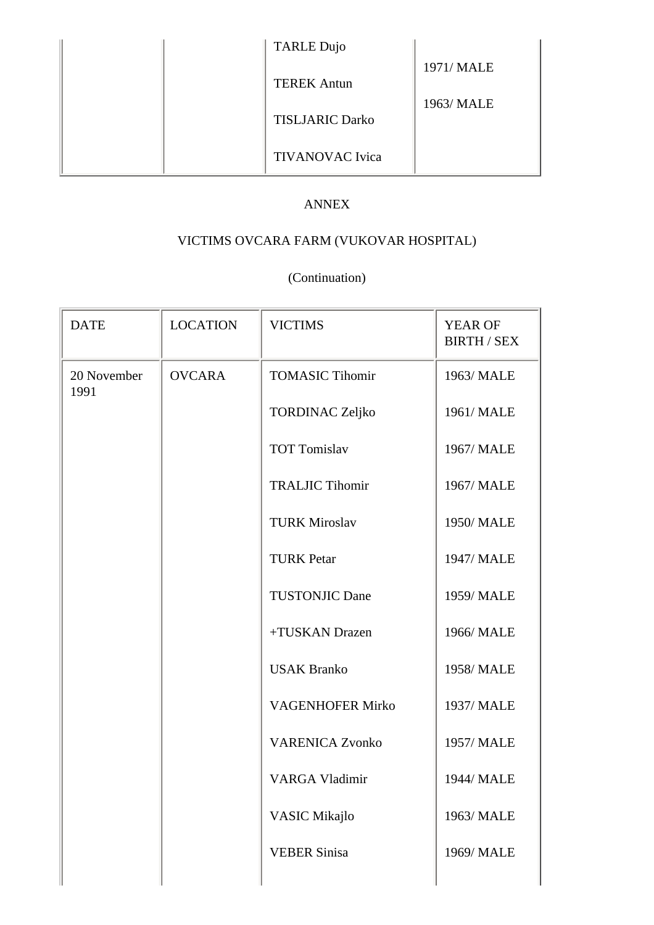|  | <b>TARLE Dujo</b>      |            |
|--|------------------------|------------|
|  |                        | 1971/ MALE |
|  | <b>TEREK Antun</b>     |            |
|  |                        | 1963/ MALE |
|  | <b>TISLJARIC Darko</b> |            |
|  |                        |            |
|  | <b>TIVANOVAC</b> Ivica |            |

# VICTIMS OVCARA FARM (VUKOVAR HOSPITAL)

| <b>LOCATION</b> | <b>VICTIMS</b>          | YEAR OF<br><b>BIRTH / SEX</b> |
|-----------------|-------------------------|-------------------------------|
| <b>OVCARA</b>   | <b>TOMASIC Tihomir</b>  | 1963/ MALE                    |
|                 | <b>TORDINAC Zeljko</b>  | 1961/ MALE                    |
|                 | <b>TOT Tomislav</b>     | 1967/ MALE                    |
|                 | <b>TRALJIC Tihomir</b>  | 1967/ MALE                    |
|                 | <b>TURK Miroslav</b>    | 1950/MALE                     |
|                 | <b>TURK Petar</b>       | 1947/ MALE                    |
|                 | <b>TUSTONJIC Dane</b>   | 1959/MALE                     |
|                 | +TUSKAN Drazen          | 1966/ MALE                    |
|                 | <b>USAK Branko</b>      | 1958/MALE                     |
|                 | <b>VAGENHOFER Mirko</b> | 1937/ MALE                    |
|                 | <b>VARENICA Zvonko</b>  | 1957/ MALE                    |
|                 | <b>VARGA Vladimir</b>   | 1944/ MALE                    |
|                 | <b>VASIC Mikajlo</b>    | 1963/ MALE                    |
|                 | <b>VEBER Sinisa</b>     | 1969/ MALE                    |
|                 |                         |                               |